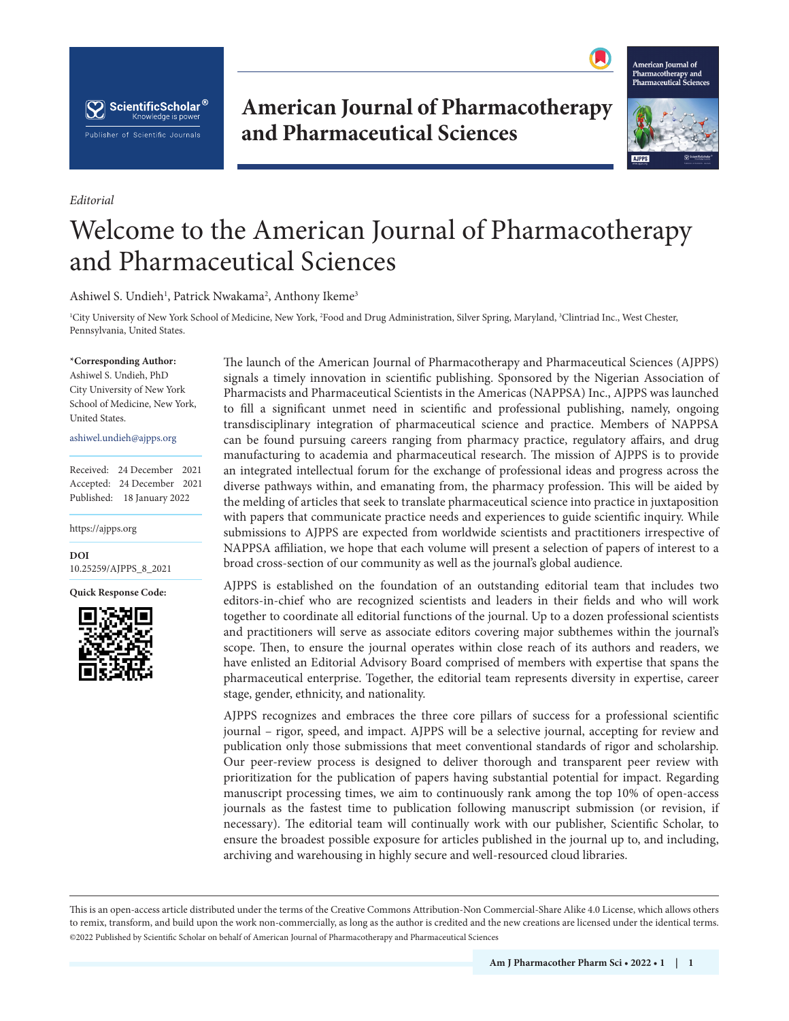

**American Journal of Pharmacotherapy and Pharmaceutical Sciences**



## Welcome to the American Journal of Pharmacotherapy and Pharmaceutical Sciences

Ashiwel S. Undieh<sup>1</sup>, Patrick Nwakama<sup>2</sup>, Anthony Ikeme<sup>3</sup>

1 City University of New York School of Medicine, New York, 2 Food and Drug Administration, Silver Spring, Maryland, 3 Clintriad Inc., West Chester, Pennsylvania, United States.

## **\*Corresponding Author:**

*Editorial*

Ashiwel S. Undieh, PhD City University of New York School of Medicine, New York, United States.

## ashiwel.undieh@ajpps.org

Received: 24 December 2021 Accepted: 24 December 2021 Published: 18 January 2022

https://ajpps.org

**DOI** [10.25259/AJPPS\\_8\\_2021](https://dx.doi.org/10.25259/AJPPS_8_2021)

**Quick Response Code:**



The launch of the American Journal of Pharmacotherapy and Pharmaceutical Sciences (AJPPS) signals a timely innovation in scientific publishing. Sponsored by the Nigerian Association of Pharmacists and Pharmaceutical Scientists in the Americas (NAPPSA) Inc., AJPPS was launched to fill a significant unmet need in scientific and professional publishing, namely, ongoing transdisciplinary integration of pharmaceutical science and practice. Members of NAPPSA can be found pursuing careers ranging from pharmacy practice, regulatory affairs, and drug manufacturing to academia and pharmaceutical research. The mission of AJPPS is to provide an integrated intellectual forum for the exchange of professional ideas and progress across the diverse pathways within, and emanating from, the pharmacy profession. This will be aided by the melding of articles that seek to translate pharmaceutical science into practice in juxtaposition with papers that communicate practice needs and experiences to guide scientific inquiry. While submissions to AJPPS are expected from worldwide scientists and practitioners irrespective of NAPPSA affiliation, we hope that each volume will present a selection of papers of interest to a broad cross-section of our community as well as the journal's global audience.

AJPPS is established on the foundation of an outstanding editorial team that includes two editors-in-chief who are recognized scientists and leaders in their fields and who will work together to coordinate all editorial functions of the journal. Up to a dozen professional scientists and practitioners will serve as associate editors covering major subthemes within the journal's scope. Then, to ensure the journal operates within close reach of its authors and readers, we have enlisted an Editorial Advisory Board comprised of members with expertise that spans the pharmaceutical enterprise. Together, the editorial team represents diversity in expertise, career stage, gender, ethnicity, and nationality.

AJPPS recognizes and embraces the three core pillars of success for a professional scientific journal – rigor, speed, and impact. AJPPS will be a selective journal, accepting for review and publication only those submissions that meet conventional standards of rigor and scholarship. Our peer-review process is designed to deliver thorough and transparent peer review with prioritization for the publication of papers having substantial potential for impact. Regarding manuscript processing times, we aim to continuously rank among the top 10% of open-access journals as the fastest time to publication following manuscript submission (or revision, if necessary). The editorial team will continually work with our publisher, Scientific Scholar, to ensure the broadest possible exposure for articles published in the journal up to, and including, archiving and warehousing in highly secure and well-resourced cloud libraries.

is is an open-access article distributed under the terms of the Creative Commons Attribution-Non Commercial-Share Alike 4.0 License, which allows others to remix, transform, and build upon the work non-commercially, as long as the author is credited and the new creations are licensed under the identical terms. ©2022 Published by Scientific Scholar on behalf of American Journal of Pharmacotherapy and Pharmaceutical Sciences